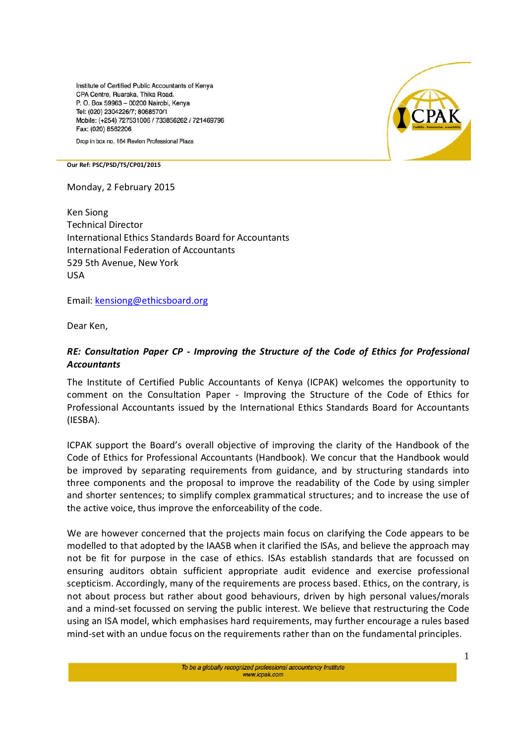Institute of Certified Public Accountants of Kenva CPA Centre, Ruaraka, Thika Road, P. O. Box 59963 - 00200 Nairobi, Kenya Tel: (020) 2304226/7; 8068570/1 Mobile: (+254) 727531006 / 733856262 / 721469796 Fax: (020) 8562206

Drop in box no. 164 Revlon Professional Plaza



**Our Ref: PSC/PSD/TS/CP01/2015**

Monday, 2 February 2015

Ken Siong Technical Director International Ethics Standards Board for Accountants International Federation of Accountants 529 5th Avenue, New York USA

Email: kensiong@ethicsboard.org

Dear Ken,

## *RE: Consultation Paper CP - Improving the Structure of the Code of Ethics for Professional Accountants*

The Institute of Certified Public Accountants of Kenya (ICPAK) welcomes the opportunity to comment on the Consultation Paper - Improving the Structure of the Code of Ethics for Professional Accountants issued by the International Ethics Standards Board for Accountants (IESBA).

ICPAK support the Board's overall objective of improving the clarity of the Handbook of the Code of Ethics for Professional Accountants (Handbook). We concur that the Handbook would be improved by separating requirements from guidance, and by structuring standards into three components and the proposal to improve the readability of the Code by using simpler and shorter sentences; to simplify complex grammatical structures; and to increase the use of the active voice, thus improve the enforceability of the code.

We are however concerned that the projects main focus on clarifying the Code appears to be modelled to that adopted by the IAASB when it clarified the ISAs, and believe the approach may not be fit for purpose in the case of ethics. ISAs establish standards that are focussed on ensuring auditors obtain sufficient appropriate audit evidence and exercise professional scepticism. Accordingly, many of the requirements are process based. Ethics, on the contrary, is not about process but rather about good behaviours, driven by high personal values/morals and a mind-set focussed on serving the public interest. We believe that restructuring the Code using an ISA model, which emphasises hard requirements, may further encourage a rules based mind-set with an undue focus on the requirements rather than on the fundamental principles.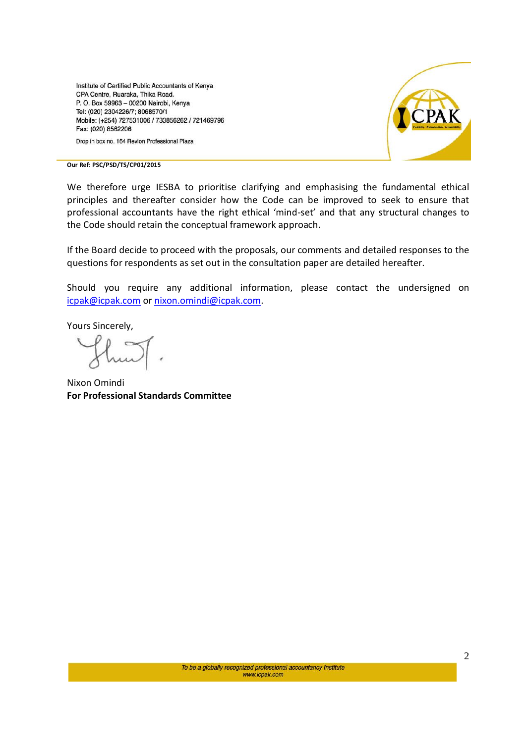Institute of Certified Public Accountants of Kenya CPA Centre, Ruaraka, Thika Road. P. O. Box 59963 - 00200 Nairobi, Kenya Tel: (020) 2304226/7; 8068570/1 Mobile: (+254) 727531006 / 733856262 / 721469796 Fax: (020) 8562206





**Our Ref: PSC/PSD/TS/CP01/2015**

We therefore urge IESBA to prioritise clarifying and emphasising the fundamental ethical principles and thereafter consider how the Code can be improved to seek to ensure that professional accountants have the right ethical 'mind-set' and that any structural changes to the Code should retain the conceptual framework approach.

If the Board decide to proceed with the proposals, our comments and detailed responses to the questions for respondents as set out in the consultation paper are detailed hereafter.

Should you require any additional information, please contact the undersigned on icpak@icpak.com or nixon.omindi@icpak.com.

Yours Sincerely,

Nixon Omindi **For Professional Standards Committee**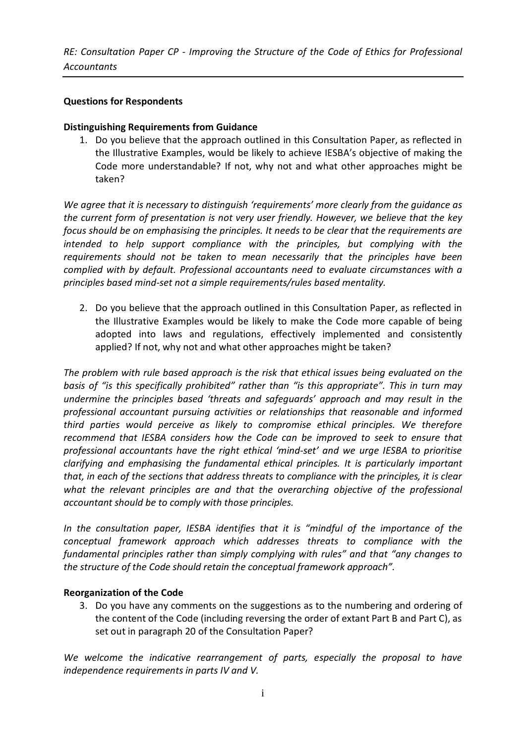*RE: Consultation Paper CP - Improving the Structure of the Code of Ethics for Professional Accountants*

## **Questions for Respondents**

### **Distinguishing Requirements from Guidance**

1. Do you believe that the approach outlined in this Consultation Paper, as reflected in the Illustrative Examples, would be likely to achieve IESBA's objective of making the Code more understandable? If not, why not and what other approaches might be taken?

*We agree that it is necessary to distinguish 'requirements' more clearly from the guidance as the current form of presentation is not very user friendly. However, we believe that the key focus should be on emphasising the principles. It needs to be clear that the requirements are*  intended to help support compliance with the principles, but complying with the *requirements should not be taken to mean necessarily that the principles have been complied with by default. Professional accountants need to evaluate circumstances with a principles based mind-set not a simple requirements/rules based mentality.*

2. Do you believe that the approach outlined in this Consultation Paper, as reflected in the Illustrative Examples would be likely to make the Code more capable of being adopted into laws and regulations, effectively implemented and consistently applied? If not, why not and what other approaches might be taken?

*The problem with rule based approach is the risk that ethical issues being evaluated on the basis of "is this specifically prohibited" rather than "is this appropriate". This in turn may undermine the principles based 'threats and safeguards' approach and may result in the professional accountant pursuing activities or relationships that reasonable and informed third parties would perceive as likely to compromise ethical principles. We therefore recommend that IESBA considers how the Code can be improved to seek to ensure that professional accountants have the right ethical 'mind-set' and we urge IESBA to prioritise clarifying and emphasising the fundamental ethical principles. It is particularly important that, in each of the sections that address threats to compliance with the principles, it is clear what the relevant principles are and that the overarching objective of the professional accountant should be to comply with those principles.* 

*In the consultation paper, IESBA identifies that it is "mindful of the importance of the conceptual framework approach which addresses threats to compliance with the fundamental principles rather than simply complying with rules" and that "any changes to the structure of the Code should retain the conceptual framework approach".*

### **Reorganization of the Code**

3. Do you have any comments on the suggestions as to the numbering and ordering of the content of the Code (including reversing the order of extant Part B and Part C), as set out in paragraph 20 of the Consultation Paper?

*We welcome the indicative rearrangement of parts, especially the proposal to have independence requirements in parts IV and V.*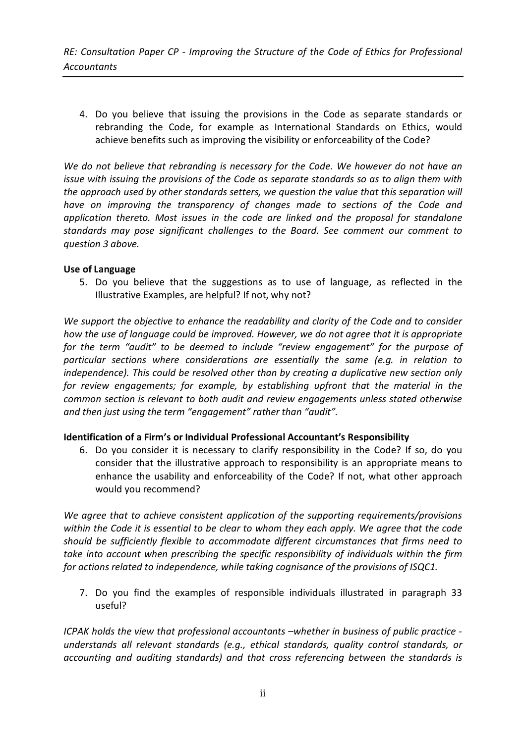4. Do you believe that issuing the provisions in the Code as separate standards or rebranding the Code, for example as International Standards on Ethics, would achieve benefits such as improving the visibility or enforceability of the Code?

*We do not believe that rebranding is necessary for the Code. We however do not have an issue with issuing the provisions of the Code as separate standards so as to align them with the approach used by other standards setters, we question the value that this separation will have on improving the transparency of changes made to sections of the Code and application thereto. Most issues in the code are linked and the proposal for standalone standards may pose significant challenges to the Board. See comment our comment to question 3 above.*

### **Use of Language**

5. Do you believe that the suggestions as to use of language, as reflected in the Illustrative Examples, are helpful? If not, why not?

*We support the objective to enhance the readability and clarity of the Code and to consider how the use of language could be improved. However, we do not agree that it is appropriate for the term "audit" to be deemed to include "review engagement" for the purpose of particular sections where considerations are essentially the same (e.g. in relation to independence). This could be resolved other than by creating a duplicative new section only for review engagements; for example, by establishing upfront that the material in the common section is relevant to both audit and review engagements unless stated otherwise and then just using the term "engagement" rather than "audit".*

# **Identification of a Firm's or Individual Professional Accountant's Responsibility**

6. Do you consider it is necessary to clarify responsibility in the Code? If so, do you consider that the illustrative approach to responsibility is an appropriate means to enhance the usability and enforceability of the Code? If not, what other approach would you recommend?

*We agree that to achieve consistent application of the supporting requirements/provisions within the Code it is essential to be clear to whom they each apply. We agree that the code should be sufficiently flexible to accommodate different circumstances that firms need to take into account when prescribing the specific responsibility of individuals within the firm for actions related to independence, while taking cognisance of the provisions of ISQC1.*

7. Do you find the examples of responsible individuals illustrated in paragraph 33 useful?

*ICPAK holds the view that professional accountants –whether in business of public practice understands all relevant standards (e.g., ethical standards, quality control standards, or accounting and auditing standards) and that cross referencing between the standards is*